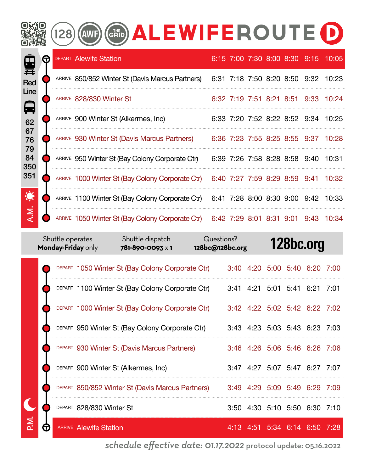|                                    |   | 128 | GRID) ALEWIFEROUTE<br>(AWF)                      |  |  |                               |                                     |
|------------------------------------|---|-----|--------------------------------------------------|--|--|-------------------------------|-------------------------------------|
| 量                                  | G |     | <b>DEPART Alewife Station</b>                    |  |  |                               | 6:15 7:00 7:30 8:00 8:30 9:15 10:05 |
| Red<br>Line<br>日<br>62<br>67<br>76 |   |     | ARRIVE 850/852 Winter St (Davis Marcus Partners) |  |  |                               | 6:31 7:18 7:50 8:20 8:50 9:32 10:23 |
|                                    |   |     | ARRIVE 828/830 Winter St                         |  |  |                               | 6:32 7:19 7:51 8:21 8:51 9:33 10:24 |
|                                    |   |     | ARRIVE 900 Winter St (Alkermes, Inc)             |  |  |                               | 6:33 7:20 7:52 8:22 8:52 9:34 10:25 |
|                                    |   |     | ARRIVE 930 Winter St (Davis Marcus Partners)     |  |  |                               | 6:36 7:23 7:55 8:25 8:55 9:37 10:28 |
| 79<br>84<br>350                    |   |     | ARRIVE 950 Winter St (Bay Colony Corporate Ctr)  |  |  | 6:39 7:26 7:58 8:28 8:58 9:40 | 10:31                               |
| 351                                |   |     | ARRIVE 1000 Winter St (Bay Colony Corporate Ctr) |  |  | 6:40 7:27 7:59 8:29 8:59 9:41 | 10:32                               |
| 潦                                  |   |     | ARRIVE 1100 Winter St (Bay Colony Corporate Ctr) |  |  |                               | 6:41 7:28 8:00 8:30 9:00 9:42 10:33 |
| A.M.                               |   |     | ARRIVE 1050 Winter St (Bay Colony Corporate Ctr) |  |  |                               | 6:42 7:29 8:01 8:31 9:01 9:43 10:34 |

|   | Shuttle operates<br>Monday-Friday only |                               | Shuttle dispatch<br>781-890-0093 x 1             | Questions?<br>128bc@128bc.org |  |                               | 128bc.org |      |
|---|----------------------------------------|-------------------------------|--------------------------------------------------|-------------------------------|--|-------------------------------|-----------|------|
|   |                                        |                               | DEPART 1050 Winter St (Bay Colony Corporate Ctr) |                               |  | 3:40 4:20 5:00 5:40 6:20      |           | 7:00 |
|   |                                        |                               | DEPART 1100 Winter St (Bay Colony Corporate Ctr) |                               |  | 3:41 4:21 5:01 5:41 6:21 7:01 |           |      |
|   |                                        |                               | DEPART 1000 Winter St (Bay Colony Corporate Ctr) |                               |  | 3:42 4:22 5:02 5:42 6:22 7:02 |           |      |
|   |                                        |                               | DEPART 950 Winter St (Bay Colony Corporate Ctr)  |                               |  | 3:43 4:23 5:03 5:43 6:23 7:03 |           |      |
|   |                                        |                               | DEPART 930 Winter St (Davis Marcus Partners)     |                               |  | 3:46 4:26 5:06 5:46 6:26 7:06 |           |      |
|   |                                        |                               | DEPART 900 Winter St (Alkermes, Inc)             |                               |  | 3:47 4:27 5:07 5:47 6:27 7:07 |           |      |
|   |                                        |                               | DEPART 850/852 Winter St (Davis Marcus Partners) |                               |  | 3:49 4:29 5:09 5:49 6:29 7:09 |           |      |
|   |                                        | DEPART 828/830 Winter St      |                                                  |                               |  | 3:50 4:30 5:10 5:50 6:30 7:10 |           |      |
| G |                                        | <b>ARRIVE</b> Alewife Station |                                                  |                               |  | 4:13 4:51 5:34 6:14 6:50 7:28 |           |      |

*schedule effective date: 01.17.2022* protocol update: 05.16.2022